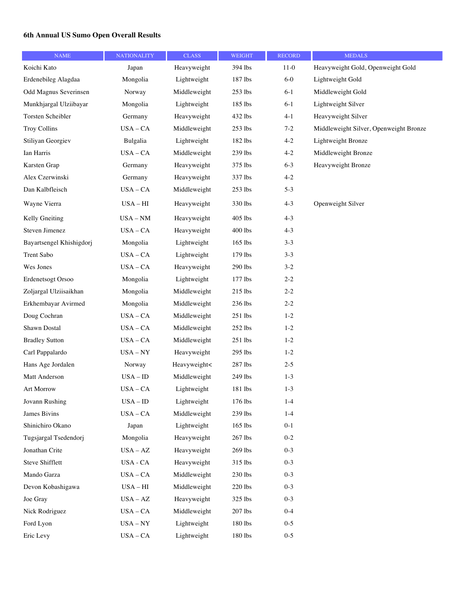## **6th Annual US Sumo Open Overall Results**

| <b>NAME</b>              | <b>NATIONALITY</b> | <b>CLASS</b> | <b>WEIGHT</b> | <b>RECORD</b> | <b>MEDALS</b>                          |
|--------------------------|--------------------|--------------|---------------|---------------|----------------------------------------|
| Koichi Kato              | Japan              | Heavyweight  | 394 lbs       | $11-0$        | Heavyweight Gold, Openweight Gold      |
| Erdenebileg Alagdaa      | Mongolia           | Lightweight  | 187 lbs       | $6-0$         | Lightweight Gold                       |
| Odd Magnus Severinsen    | Norway             | Middleweight | 253 lbs       | $6 - 1$       | Middleweight Gold                      |
| Munkhjargal Ulziibayar   | Mongolia           | Lightweight  | 185 lbs       | $6 - 1$       | Lightweight Silver                     |
| Torsten Scheibler        | Germany            | Heavyweight  | 432 lbs       | $4 - 1$       | Heavyweight Silver                     |
| <b>Troy Collins</b>      | $USA - CA$         | Middleweight | 253 lbs       | $7 - 2$       | Middleweight Silver, Openweight Bronze |
| Stiliyan Georgiev        | Bulgalia           | Lightweight  | 182 lbs       | $4 - 2$       | Lightweight Bronze                     |
| Ian Harris               | $USA - CA$         | Middleweight | 239 lbs       | $4 - 2$       | Middleweight Bronze                    |
| Karsten Grap             | Germany            | Heavyweight  | 375 lbs       | $6 - 3$       | Heavyweight Bronze                     |
| Alex Czerwinski          | Germany            | Heavyweight  | 337 lbs       | $4 - 2$       |                                        |
| Dan Kalbfleisch          | $USA - CA$         | Middleweight | 253 lbs       | $5-3$         |                                        |
| Wayne Vierra             | $USA - HI$         | Heavyweight  | 330 lbs       | $4 - 3$       | Openweight Silver                      |
| Kelly Gneiting           | $USA - NM$         | Heavyweight  | 405 lbs       | $4 - 3$       |                                        |
| Steven Jimenez           | $USA - CA$         | Heavyweight  | 400 lbs       | $4 - 3$       |                                        |
| Bayartsengel Khishigdorj | Mongolia           | Lightweight  | 165 lbs       | $3-3$         |                                        |
| <b>Trent Sabo</b>        | $USA - CA$         | Lightweight  | 179 lbs       | $3 - 3$       |                                        |
| Wes Jones                | $USA - CA$         | Heavyweight  | 290 lbs       | $3 - 2$       |                                        |
| Erdenetsogt Orsoo        | Mongolia           | Lightweight  | 177 lbs       | $2 - 2$       |                                        |
| Zoljargal Ulziisaikhan   | Mongolia           | Middleweight | 215 lbs       | $2 - 2$       |                                        |
| Erkhembayar Avirmed      | Mongolia           | Middleweight | 236 lbs       | $2 - 2$       |                                        |
| Doug Cochran             | $USA - CA$         | Middleweight | $251$ lbs     | $1 - 2$       |                                        |
| Shawn Dostal             | $USA - CA$         | Middleweight | 252 lbs       | $1 - 2$       |                                        |
| <b>Bradley Sutton</b>    | $USA - CA$         | Middleweight | 251 lbs       | $1 - 2$       |                                        |
| Carl Pappalardo          | $USA - NY$         | Heavyweight  | 295 lbs       | $1 - 2$       |                                        |
| Hans Age Jordalen        | Norway             | Heavyweight< | 287 lbs       | $2 - 5$       |                                        |
| Matt Anderson            | $USA - ID$         | Middleweight | 249 lbs       | $1 - 3$       |                                        |
| Art Morrow               | $USA - CA$         | Lightweight  | 181 lbs       | $1-3$         |                                        |
| Jovann Rushing           | $USA - ID$         | Lightweight  | 176 lbs       | $1-4$         |                                        |
| <b>James Bivins</b>      | $USA - CA$         | Middleweight | 239 lbs       | $1 - 4$       |                                        |
| Shinichiro Okano         | Japan              | Lightweight  | 165 lbs       | $0 - 1$       |                                        |
| Tugsjargal Tsedendorj    | Mongolia           | Heavyweight  | 267 lbs       | $0 - 2$       |                                        |
| Jonathan Crite           | $USA - AZ$         | Heavyweight  | 269 lbs       | $0 - 3$       |                                        |
| Steve Shifflett          | USA - CA           | Heavyweight  | 315 lbs       | $0 - 3$       |                                        |
| Mando Garza              | $USA - CA$         | Middleweight | 230 lbs       | $0 - 3$       |                                        |
| Devon Kobashigawa        | $USA - HI$         | Middleweight | 220 lbs       | $0 - 3$       |                                        |
| Joe Gray                 | $USA - AZ$         | Heavyweight  | 325 lbs       | $0 - 3$       |                                        |
| Nick Rodriguez           | $USA-CA$           | Middleweight | 207 lbs       | $0 - 4$       |                                        |
| Ford Lyon                | $USA - NY$         | Lightweight  | 180 lbs       | $0 - 5$       |                                        |
| Eric Levy                | $USA - CA$         | Lightweight  | 180 lbs       | $0 - 5$       |                                        |